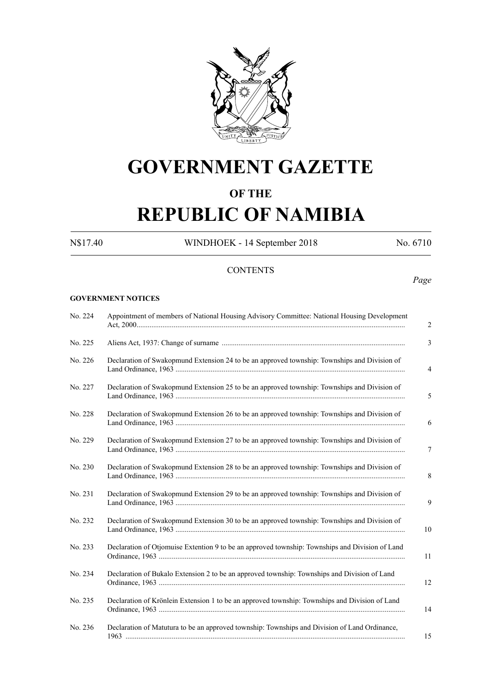

## **GOVERNMENT GAZETTE**

### **OF THE**

# **REPUBLIC OF NAMIBIA**

N\$17.40 WINDHOEK - 14 September 2018 No. 6710

*Page*

### **CONTENTS**

#### **GOVERNMENT NOTICES**

| No. 224 | Appointment of members of National Housing Advisory Committee: National Housing Development     |  |  |
|---------|-------------------------------------------------------------------------------------------------|--|--|
| No. 225 |                                                                                                 |  |  |
| No. 226 | Declaration of Swakopmund Extension 24 to be an approved township: Townships and Division of    |  |  |
| No. 227 | Declaration of Swakopmund Extension 25 to be an approved township: Townships and Division of    |  |  |
| No. 228 | Declaration of Swakopmund Extension 26 to be an approved township: Townships and Division of    |  |  |
| No. 229 | Declaration of Swakopmund Extension 27 to be an approved township: Townships and Division of    |  |  |
| No. 230 | Declaration of Swakopmund Extension 28 to be an approved township: Townships and Division of    |  |  |
| No. 231 | Declaration of Swakopmund Extension 29 to be an approved township: Townships and Division of    |  |  |
| No. 232 | Declaration of Swakopmund Extension 30 to be an approved township: Townships and Division of    |  |  |
| No. 233 | Declaration of Otjomuise Extention 9 to be an approved township: Townships and Division of Land |  |  |
| No. 234 | Declaration of Bukalo Extension 2 to be an approved township: Townships and Division of Land    |  |  |
| No. 235 | Declaration of Krönlein Extension 1 to be an approved township: Townships and Division of Land  |  |  |
| No. 236 | Declaration of Matutura to be an approved township: Townships and Division of Land Ordinance,   |  |  |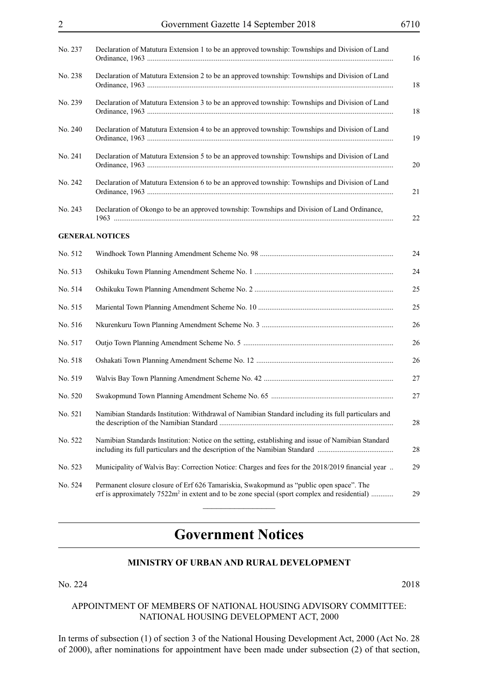| No. 237 | Declaration of Matutura Extension 1 to be an approved township: Townships and Division of Land                                                                                             |  |  |
|---------|--------------------------------------------------------------------------------------------------------------------------------------------------------------------------------------------|--|--|
| No. 238 | Declaration of Matutura Extension 2 to be an approved township: Townships and Division of Land                                                                                             |  |  |
| No. 239 | Declaration of Matutura Extension 3 to be an approved township: Townships and Division of Land                                                                                             |  |  |
| No. 240 | Declaration of Matutura Extension 4 to be an approved township: Townships and Division of Land                                                                                             |  |  |
| No. 241 | Declaration of Matutura Extension 5 to be an approved township: Townships and Division of Land                                                                                             |  |  |
| No. 242 | Declaration of Matutura Extension 6 to be an approved township: Townships and Division of Land                                                                                             |  |  |
| No. 243 | Declaration of Okongo to be an approved township: Townships and Division of Land Ordinance,                                                                                                |  |  |
|         | <b>GENERAL NOTICES</b>                                                                                                                                                                     |  |  |
| No. 512 |                                                                                                                                                                                            |  |  |
| No. 513 |                                                                                                                                                                                            |  |  |
| No. 514 |                                                                                                                                                                                            |  |  |
| No. 515 |                                                                                                                                                                                            |  |  |
| No. 516 |                                                                                                                                                                                            |  |  |
| No. 517 |                                                                                                                                                                                            |  |  |
| No. 518 |                                                                                                                                                                                            |  |  |
| No. 519 |                                                                                                                                                                                            |  |  |
| No. 520 |                                                                                                                                                                                            |  |  |
| No. 521 | Namibian Standards Institution: Withdrawal of Namibian Standard including its full particulars and                                                                                         |  |  |
| No. 522 | Namibian Standards Institution: Notice on the setting, establishing and issue of Namibian Standard                                                                                         |  |  |
| No. 523 | Municipality of Walvis Bay: Correction Notice: Charges and fees for the 2018/2019 financial year.                                                                                          |  |  |
| No. 524 | Permanent closure closure of Erf 626 Tamariskia, Swakopmund as "public open space". The<br>erf is approximately $7522m^2$ in extent and to be zone special (sport complex and residential) |  |  |
|         |                                                                                                                                                                                            |  |  |

## **Government Notices**

#### **MINISTRY OF URBAN AND RURAL DEVELOPMENT**

No. 224 2018

#### APPOINTMENT OF MEMBERS OF NATIONAL HOUSING ADVISORY COMMITTEE: NATIONAL HOUSING DEVELOPMENT ACT, 2000

In terms of subsection (1) of section 3 of the National Housing Development Act, 2000 (Act No. 28 of 2000), after nominations for appointment have been made under subsection (2) of that section,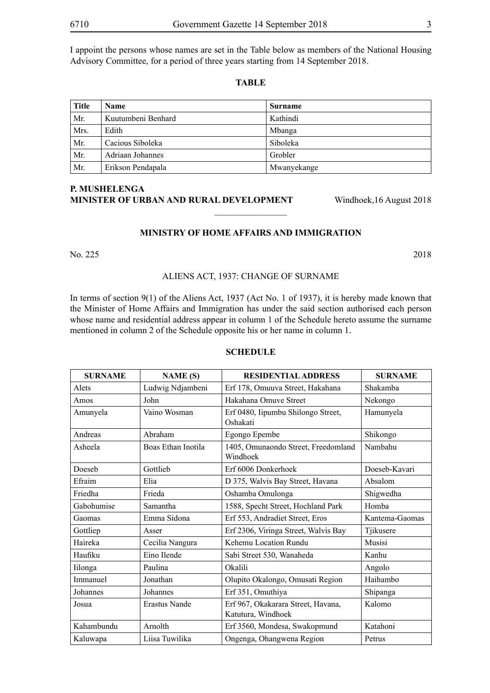I appoint the persons whose names are set in the Table below as members of the National Housing Advisory Committee, for a period of three years starting from 14 September 2018.

**TABLE**

| <b>Title</b> | <b>Name</b>        | <b>Surname</b> |
|--------------|--------------------|----------------|
| Mr.          | Kuutumbeni Benhard | Kathindi       |
| Mrs.         | Edith              | Mbanga         |
| Mr.          | Cacious Siboleka   | Siboleka       |
| Mr.          | Adriaan Johannes   | Grobler        |
| Mr.          | Erikson Pendapala  | Mwanyekange    |

#### **P. MUSHELENGA MINISTER OF URBAN AND RURAL DEVELOPMENT** Windhoek, 16 August 2018

#### **MINISTRY OF HOME AFFAIRS AND IMMIGRATION**

 $\overline{\phantom{a}}$  , where  $\overline{\phantom{a}}$ 

No. 225 2018

#### ALIENS ACT, 1937: CHANGE OF SURNAME

In terms of section 9(1) of the Aliens Act, 1937 (Act No. 1 of 1937), it is hereby made known that the Minister of Home Affairs and Immigration has under the said section authorised each person whose name and residential address appear in column 1 of the Schedule hereto assume the surname mentioned in column 2 of the Schedule opposite his or her name in column 1.

#### **SCHEDULE**

| <b>SURNAME</b> | <b>NAME</b> (S)      | <b>RESIDENTIAL ADDRESS</b>                               | <b>SURNAME</b> |
|----------------|----------------------|----------------------------------------------------------|----------------|
| Alets          | Ludwig Ndjambeni     | Erf 178, Omuuva Street, Hakahana                         | Shakamba       |
| Amos           | John                 | Hakahana Omuve Street                                    | Nekongo        |
| Amunyela       | Vaino Wosman         | Erf 0480, Iipumbu Shilongo Street,<br>Oshakati           | Hamunyela      |
| Andreas        | Abraham              | Egongo Epembe                                            | Shikongo       |
| Asheela        | Boas Ethan Inotila   | 1405, Omunaondo Street, Freedomland<br>Windhoek          | Nambahu        |
| Doeseb         | Gottlieb             | Erf 6006 Donkerhoek                                      | Doeseb-Kavari  |
| Efraim         | Elia                 | D 375, Walvis Bay Street, Havana                         | Absalom        |
| Friedha        | Frieda               | Oshamba Omulonga                                         | Shigwedha      |
| Gabohumise     | Samantha             | 1588, Specht Street, Hochland Park                       | Homba          |
| Gaomas         | Emma Sidona          | Erf 553, Andradiet Street, Eros                          | Kantema-Gaomas |
| Gottliep       | Asser                | Erf 2306, Viringa Street, Walvis Bay                     | Tjikusere      |
| Haireka        | Cecilia Nangura      | Kehemu Location Rundu                                    | Musisi         |
| Haufiku        | Eino Ilende          | Sabi Street 530, Wanaheda                                | Kanhu          |
| Iilonga        | Paulina              | Okalili                                                  | Angolo         |
| Immanuel       | Jonathan             | Olupito Okalongo, Omusati Region                         | Haihambo       |
| Johannes       | Johannes             | Erf 351, Omuthiya                                        | Shipanga       |
| Josua          | <b>Erastus Nande</b> | Erf 967, Okakarara Street, Havana,<br>Katutura, Windhoek | Kalomo         |
| Kahambundu     | Arnolth              | Erf 3560, Mondesa, Swakopmund                            | Katahoni       |
| Kaluwapa       | Liisa Tuwilika       | Ongenga, Ohangwena Region                                | Petrus         |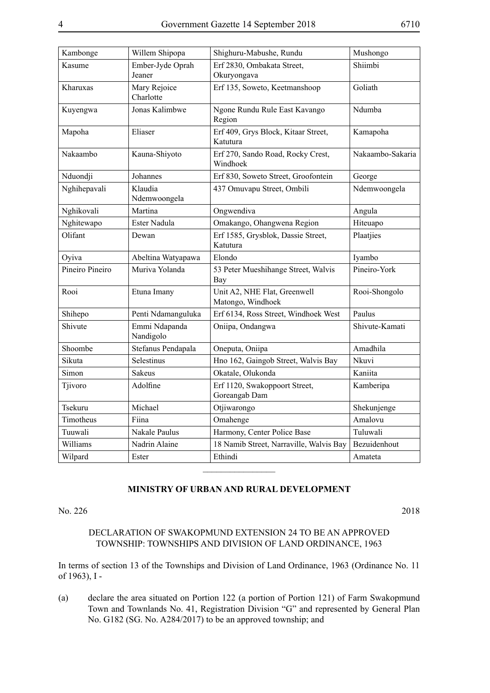| Kambonge        | Willem Shipopa             | Shighuru-Mabushe, Rundu                           | Mushongo         |
|-----------------|----------------------------|---------------------------------------------------|------------------|
| Kasume          | Ember-Jyde Oprah<br>Jeaner | Erf 2830, Ombakata Street,<br>Okuryongava         | Shiimbi          |
| Kharuxas        | Mary Rejoice<br>Charlotte  | Erf 135, Soweto, Keetmanshoop                     | Goliath          |
| Kuyengwa        | Jonas Kalimbwe             | Ngone Rundu Rule East Kavango<br>Region           | Ndumba           |
| Mapoha          | Eliaser                    | Erf 409, Grys Block, Kitaar Street,<br>Katutura   | Kamapoha         |
| Nakaambo        | Kauna-Shiyoto              | Erf 270, Sando Road, Rocky Crest,<br>Windhoek     | Nakaambo-Sakaria |
| Nduondji        | Johannes                   | Erf 830, Soweto Street, Groofontein               | George           |
| Nghihepavali    | Klaudia<br>Ndemwoongela    | 437 Omuvapu Street, Ombili                        | Ndemwoongela     |
| Nghikovali      | Martina                    | Ongwendiva                                        | Angula           |
| Nghitewapo      | Ester Nadula               | Omakango, Ohangwena Region                        | Hiteuapo         |
| Olifant         | Dewan                      | Erf 1585, Grysblok, Dassie Street,<br>Katutura    | Plaatjies        |
| Oyiva           | Abeltina Watyapawa         | Elondo                                            | Iyambo           |
| Pineiro Pineiro | Muriva Yolanda             | 53 Peter Mueshihange Street, Walvis<br>Bay        | Pineiro-York     |
| Rooi            | Etuna Imany                | Unit A2, NHE Flat, Greenwell<br>Matongo, Windhoek | Rooi-Shongolo    |
| Shihepo         | Penti Ndamanguluka         | Erf 6134, Ross Street, Windhoek West              | Paulus           |
| Shivute         | Emmi Ndapanda<br>Nandigolo | Oniipa, Ondangwa                                  | Shivute-Kamati   |
| Shoombe         | Stefanus Pendapala         | Oneputa, Oniipa                                   | Amadhila         |
| Sikuta          | Selestinus                 | Hno 162, Gaingob Street, Walvis Bay               | Nkuvi            |
| Simon           | <b>Sakeus</b>              | Okatale, Olukonda                                 | Kaniita          |
| Tjivoro         | Adolfine                   | Erf 1120, Swakoppoort Street,<br>Goreangab Dam    | Kamberipa        |
| Tsekuru         | Michael                    | Otjiwarongo                                       | Shekunjenge      |
| Timotheus       | Fiina                      | Omahenge                                          | Amalovu          |
| Tuuwali         | Nakale Paulus              | Harmony, Center Police Base                       | Tuluwali         |
| Williams        | Nadrin Alaine              | 18 Namib Street, Narraville, Walvis Bay           | Bezuidenhout     |
| Wilpard         | Ester                      | Ethindi                                           | Amateta          |
|                 |                            |                                                   |                  |

No. 226 2018

#### DECLARATION OF SWAKOPMUND EXTENSION 24 TO BE AN APPROVED TOWNSHIP: TOWNSHIPS AND DIVISION OF LAND ORDINANCE, 1963

In terms of section 13 of the Townships and Division of Land Ordinance, 1963 (Ordinance No. 11 of 1963), I -

(a) declare the area situated on Portion 122 (a portion of Portion 121) of Farm Swakopmund Town and Townlands No. 41, Registration Division "G" and represented by General Plan No. G182 (SG. No. A284/2017) to be an approved township; and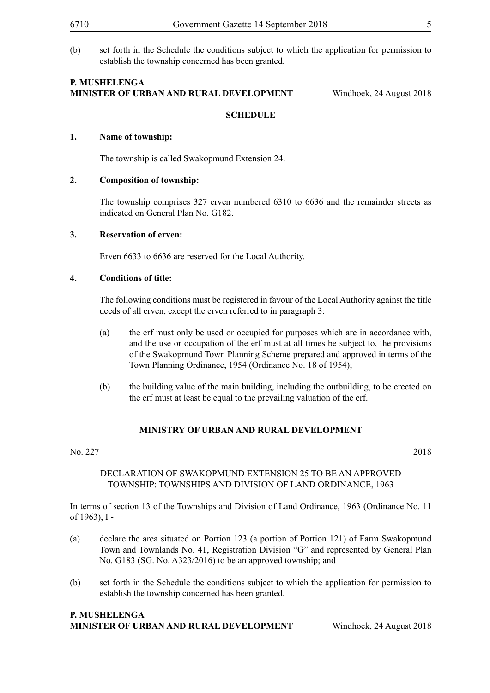(b) set forth in the Schedule the conditions subject to which the application for permission to establish the township concerned has been granted.

#### **P. Mushelenga Minister of Urban and Rural Development** Windhoek, 24 August 2018

#### **SCHEDULE**

#### **1. Name of township:**

The township is called Swakopmund Extension 24.

#### **2. Composition of township:**

The township comprises 327 erven numbered 6310 to 6636 and the remainder streets as indicated on General Plan No. G182.

#### **3. Reservation of erven:**

Erven 6633 to 6636 are reserved for the Local Authority.

#### **4. Conditions of title:**

The following conditions must be registered in favour of the Local Authority against the title deeds of all erven, except the erven referred to in paragraph 3:

- (a) the erf must only be used or occupied for purposes which are in accordance with, and the use or occupation of the erf must at all times be subject to, the provisions of the Swakopmund Town Planning Scheme prepared and approved in terms of the Town Planning Ordinance, 1954 (Ordinance No. 18 of 1954);
- (b) the building value of the main building, including the outbuilding, to be erected on the erf must at least be equal to the prevailing valuation of the erf.

 $\frac{1}{2}$ 

#### **MINISTRY OF URBAN AND RURAL DEVELOPMENT**

#### No. 227 2018

#### DECLARATION OF SWAKOPMUND EXTENSION 25 TO BE AN APPROVED TOWNSHIP: TOWNSHIPS AND DIVISION OF LAND ORDINANCE, 1963

In terms of section 13 of the Townships and Division of Land Ordinance, 1963 (Ordinance No. 11 of 1963), I -

- (a) declare the area situated on Portion 123 (a portion of Portion 121) of Farm Swakopmund Town and Townlands No. 41, Registration Division "G" and represented by General Plan No. G183 (SG. No. A323/2016) to be an approved township; and
- (b) set forth in the Schedule the conditions subject to which the application for permission to establish the township concerned has been granted.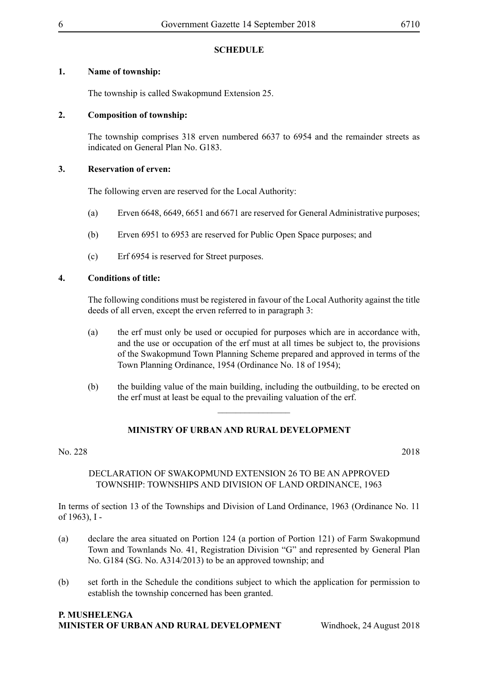#### **1. Name of township:**

The township is called Swakopmund Extension 25.

#### **2. Composition of township:**

The township comprises 318 erven numbered 6637 to 6954 and the remainder streets as indicated on General Plan No. G183.

#### **3. Reservation of erven:**

The following erven are reserved for the Local Authority:

- (a) Erven 6648, 6649, 6651 and 6671 are reserved for General Administrative purposes;
- (b) Erven 6951 to 6953 are reserved for Public Open Space purposes; and
- (c) Erf 6954 is reserved for Street purposes.

#### **4. Conditions of title:**

The following conditions must be registered in favour of the Local Authority against the title deeds of all erven, except the erven referred to in paragraph 3:

- (a) the erf must only be used or occupied for purposes which are in accordance with, and the use or occupation of the erf must at all times be subject to, the provisions of the Swakopmund Town Planning Scheme prepared and approved in terms of the Town Planning Ordinance, 1954 (Ordinance No. 18 of 1954);
- (b) the building value of the main building, including the outbuilding, to be erected on the erf must at least be equal to the prevailing valuation of the erf.

 $\overline{\phantom{a}}$  , where  $\overline{\phantom{a}}$ 

### **MINISTRY OF URBAN AND RURAL DEVELOPMENT**

#### No. 228 2018

#### DECLARATION OF SWAKOPMUND EXTENSION 26 TO BE AN APPROVED TOWNSHIP: TOWNSHIPS AND DIVISION OF LAND ORDINANCE, 1963

In terms of section 13 of the Townships and Division of Land Ordinance, 1963 (Ordinance No. 11 of 1963), I -

- (a) declare the area situated on Portion 124 (a portion of Portion 121) of Farm Swakopmund Town and Townlands No. 41, Registration Division "G" and represented by General Plan No. G184 (SG. No. A314/2013) to be an approved township; and
- (b) set forth in the Schedule the conditions subject to which the application for permission to establish the township concerned has been granted.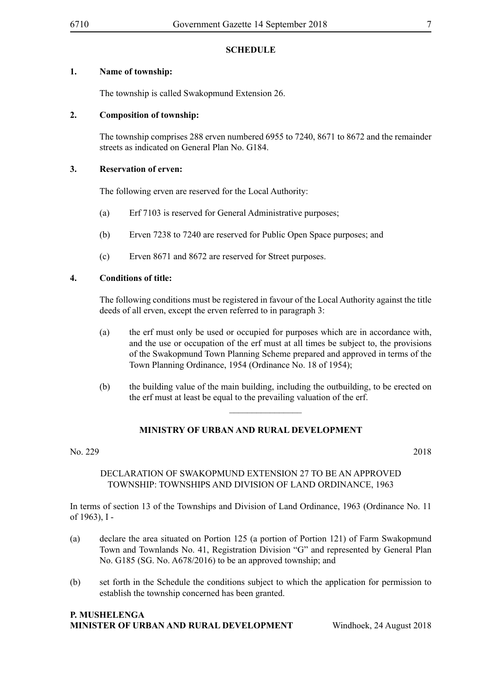#### **1. Name of township:**

The township is called Swakopmund Extension 26.

#### **2. Composition of township:**

The township comprises 288 erven numbered 6955 to 7240, 8671 to 8672 and the remainder streets as indicated on General Plan No. G184.

#### **3. Reservation of erven:**

The following erven are reserved for the Local Authority:

- (a) Erf 7103 is reserved for General Administrative purposes;
- (b) Erven 7238 to 7240 are reserved for Public Open Space purposes; and
- (c) Erven 8671 and 8672 are reserved for Street purposes.

#### **4. Conditions of title:**

The following conditions must be registered in favour of the Local Authority against the title deeds of all erven, except the erven referred to in paragraph 3:

- (a) the erf must only be used or occupied for purposes which are in accordance with, and the use or occupation of the erf must at all times be subject to, the provisions of the Swakopmund Town Planning Scheme prepared and approved in terms of the Town Planning Ordinance, 1954 (Ordinance No. 18 of 1954);
- (b) the building value of the main building, including the outbuilding, to be erected on the erf must at least be equal to the prevailing valuation of the erf.

 $\overline{\phantom{a}}$  , where  $\overline{\phantom{a}}$ 

### **MINISTRY OF URBAN AND RURAL DEVELOPMENT**

#### No. 229 2018

#### DECLARATION OF SWAKOPMUND EXTENSION 27 TO BE AN APPROVED TOWNSHIP: TOWNSHIPS AND DIVISION OF LAND ORDINANCE, 1963

In terms of section 13 of the Townships and Division of Land Ordinance, 1963 (Ordinance No. 11 of 1963), I -

- (a) declare the area situated on Portion 125 (a portion of Portion 121) of Farm Swakopmund Town and Townlands No. 41, Registration Division "G" and represented by General Plan No. G185 (SG. No. A678/2016) to be an approved township; and
- (b) set forth in the Schedule the conditions subject to which the application for permission to establish the township concerned has been granted.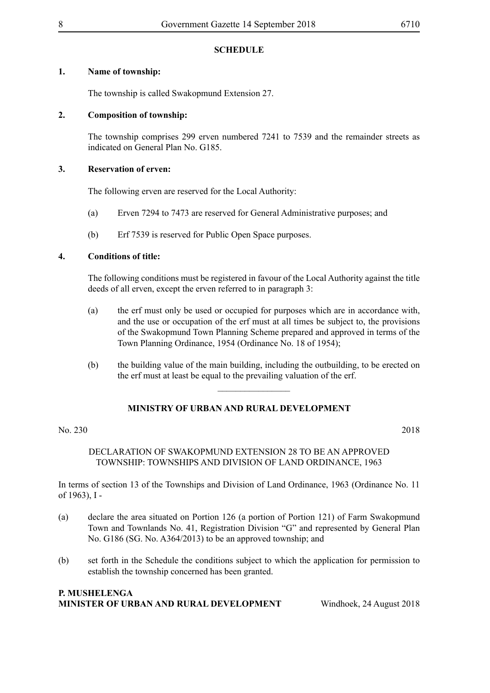#### **1. Name of township:**

The township is called Swakopmund Extension 27.

#### **2. Composition of township:**

The township comprises 299 erven numbered 7241 to 7539 and the remainder streets as indicated on General Plan No. G185.

#### **3. Reservation of erven:**

The following erven are reserved for the Local Authority:

- (a) Erven 7294 to 7473 are reserved for General Administrative purposes; and
- (b) Erf 7539 is reserved for Public Open Space purposes.

#### **4. Conditions of title:**

The following conditions must be registered in favour of the Local Authority against the title deeds of all erven, except the erven referred to in paragraph 3:

- (a) the erf must only be used or occupied for purposes which are in accordance with, and the use or occupation of the erf must at all times be subject to, the provisions of the Swakopmund Town Planning Scheme prepared and approved in terms of the Town Planning Ordinance, 1954 (Ordinance No. 18 of 1954);
- (b) the building value of the main building, including the outbuilding, to be erected on the erf must at least be equal to the prevailing valuation of the erf.

 $\frac{1}{2}$ 

### **MINISTRY OF URBAN AND RURAL DEVELOPMENT**

#### No. 230 2018

#### DECLARATION OF SWAKOPMUND EXTENSION 28 TO BE AN APPROVED TOWNSHIP: TOWNSHIPS AND DIVISION OF LAND ORDINANCE, 1963

In terms of section 13 of the Townships and Division of Land Ordinance, 1963 (Ordinance No. 11 of 1963), I -

- (a) declare the area situated on Portion 126 (a portion of Portion 121) of Farm Swakopmund Town and Townlands No. 41, Registration Division "G" and represented by General Plan No. G186 (SG. No. A364/2013) to be an approved township; and
- (b) set forth in the Schedule the conditions subject to which the application for permission to establish the township concerned has been granted.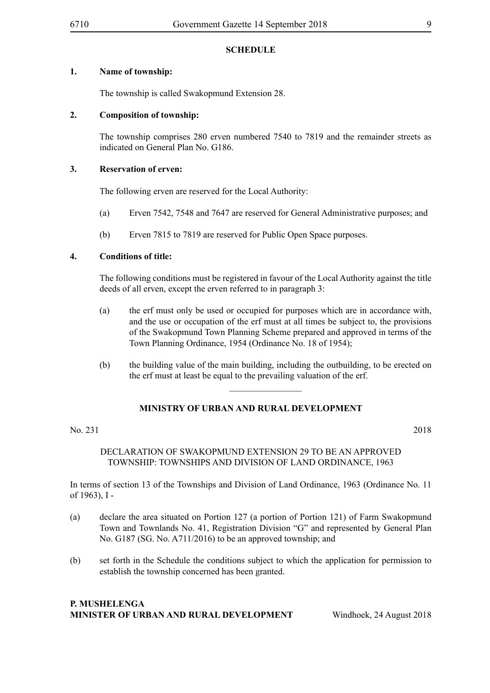#### **1. Name of township:**

The township is called Swakopmund Extension 28.

#### **2. Composition of township:**

The township comprises 280 erven numbered 7540 to 7819 and the remainder streets as indicated on General Plan No. G186.

#### **3. Reservation of erven:**

The following erven are reserved for the Local Authority:

- (a) Erven 7542, 7548 and 7647 are reserved for General Administrative purposes; and
- (b) Erven 7815 to 7819 are reserved for Public Open Space purposes.

#### **4. Conditions of title:**

The following conditions must be registered in favour of the Local Authority against the title deeds of all erven, except the erven referred to in paragraph 3:

- (a) the erf must only be used or occupied for purposes which are in accordance with, and the use or occupation of the erf must at all times be subject to, the provisions of the Swakopmund Town Planning Scheme prepared and approved in terms of the Town Planning Ordinance, 1954 (Ordinance No. 18 of 1954);
- (b) the building value of the main building, including the outbuilding, to be erected on the erf must at least be equal to the prevailing valuation of the erf.

 $\frac{1}{2}$ 

#### **MINISTRY OF URBAN AND RURAL DEVELOPMENT**

No. 231 2018

#### DECLARATION OF SWAKOPMUND EXTENSION 29 TO BE AN APPROVED TOWNSHIP: TOWNSHIPS AND DIVISION OF LAND ORDINANCE, 1963

In terms of section 13 of the Townships and Division of Land Ordinance, 1963 (Ordinance No. 11 of 1963), I -

- (a) declare the area situated on Portion 127 (a portion of Portion 121) of Farm Swakopmund Town and Townlands No. 41, Registration Division "G" and represented by General Plan No. G187 (SG. No. A711/2016) to be an approved township; and
- (b) set forth in the Schedule the conditions subject to which the application for permission to establish the township concerned has been granted.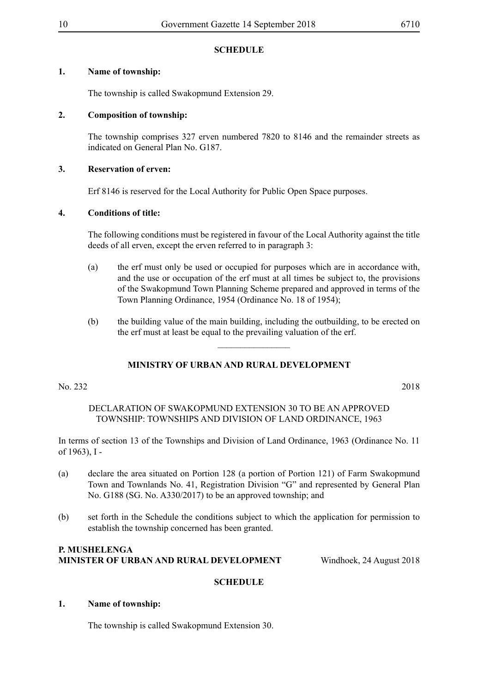#### **1. Name of township:**

The township is called Swakopmund Extension 29.

#### **2. Composition of township:**

The township comprises 327 erven numbered 7820 to 8146 and the remainder streets as indicated on General Plan No. G187.

#### **3. Reservation of erven:**

Erf 8146 is reserved for the Local Authority for Public Open Space purposes.

#### **4. Conditions of title:**

The following conditions must be registered in favour of the Local Authority against the title deeds of all erven, except the erven referred to in paragraph 3:

- (a) the erf must only be used or occupied for purposes which are in accordance with, and the use or occupation of the erf must at all times be subject to, the provisions of the Swakopmund Town Planning Scheme prepared and approved in terms of the Town Planning Ordinance, 1954 (Ordinance No. 18 of 1954);
- (b) the building value of the main building, including the outbuilding, to be erected on the erf must at least be equal to the prevailing valuation of the erf.

 $\frac{1}{2}$ 

#### **MINISTRY OF URBAN AND RURAL DEVELOPMENT**

No. 232 2018

#### DECLARATION OF SWAKOPMUND EXTENSION 30 TO BE AN APPROVED TOWNSHIP: TOWNSHIPS AND DIVISION OF LAND ORDINANCE, 1963

In terms of section 13 of the Townships and Division of Land Ordinance, 1963 (Ordinance No. 11 of 1963), I -

- (a) declare the area situated on Portion 128 (a portion of Portion 121) of Farm Swakopmund Town and Townlands No. 41, Registration Division "G" and represented by General Plan No. G188 (SG. No. A330/2017) to be an approved township; and
- (b) set forth in the Schedule the conditions subject to which the application for permission to establish the township concerned has been granted.

#### **P. Mushelenga Minister of Urban and Rural Development** Windhoek, 24 August 2018

#### **SCHEDULE**

#### **1. Name of township:**

The township is called Swakopmund Extension 30.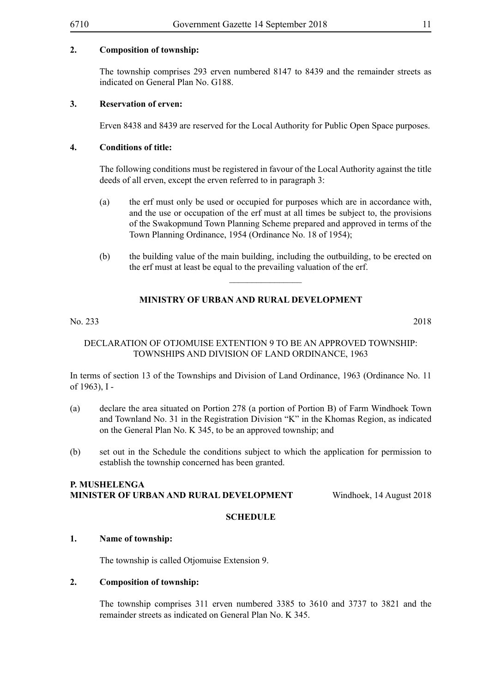#### **2. Composition of township:**

The township comprises 293 erven numbered 8147 to 8439 and the remainder streets as indicated on General Plan No. G188.

#### **3. Reservation of erven:**

Erven 8438 and 8439 are reserved for the Local Authority for Public Open Space purposes.

#### **4. Conditions of title:**

The following conditions must be registered in favour of the Local Authority against the title deeds of all erven, except the erven referred to in paragraph 3:

- (a) the erf must only be used or occupied for purposes which are in accordance with, and the use or occupation of the erf must at all times be subject to, the provisions of the Swakopmund Town Planning Scheme prepared and approved in terms of the Town Planning Ordinance, 1954 (Ordinance No. 18 of 1954);
- (b) the building value of the main building, including the outbuilding, to be erected on the erf must at least be equal to the prevailing valuation of the erf.

 $\frac{1}{2}$ 

#### **MINISTRY OF URBAN AND RURAL DEVELOPMENT**

#### No. 233 2018

#### DECLARATION OF OTJOMUISE EXTENTION 9 TO BE AN APPROVED TOWNSHIP: TOWNSHIPS AND DIVISION OF LAND ORDINANCE, 1963

In terms of section 13 of the Townships and Division of Land Ordinance, 1963 (Ordinance No. 11 of 1963), I -

- (a) declare the area situated on Portion 278 (a portion of Portion B) of Farm Windhoek Town and Townland No. 31 in the Registration Division "K" in the Khomas Region, as indicated on the General Plan No. K 345, to be an approved township; and
- (b) set out in the Schedule the conditions subject to which the application for permission to establish the township concerned has been granted.

#### **P. Mushelenga Minister of Urban and Rural Development** Windhoek, 14 August 2018

#### **SCHEDULE**

#### **1. Name of township:**

The township is called Otjomuise Extension 9.

#### **2. Composition of township:**

The township comprises 311 erven numbered 3385 to 3610 and 3737 to 3821 and the remainder streets as indicated on General Plan No. K 345.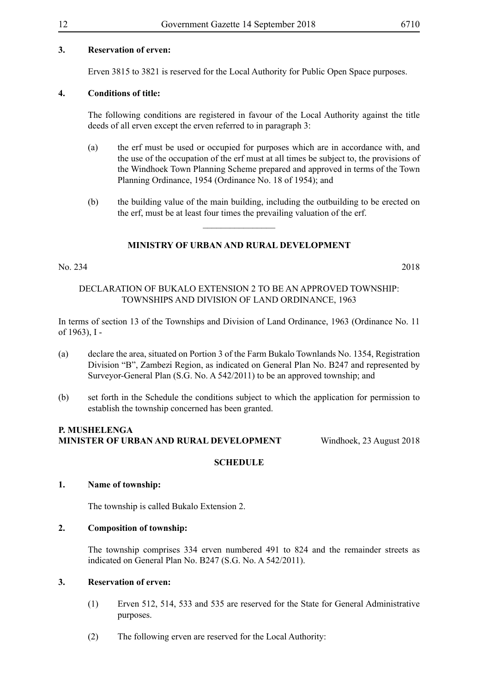#### **3. Reservation of erven:**

Erven 3815 to 3821 is reserved for the Local Authority for Public Open Space purposes.

#### **4. Conditions of title:**

The following conditions are registered in favour of the Local Authority against the title deeds of all erven except the erven referred to in paragraph 3:

- (a) the erf must be used or occupied for purposes which are in accordance with, and the use of the occupation of the erf must at all times be subject to, the provisions of the Windhoek Town Planning Scheme prepared and approved in terms of the Town Planning Ordinance, 1954 (Ordinance No. 18 of 1954); and
- (b) the building value of the main building, including the outbuilding to be erected on the erf, must be at least four times the prevailing valuation of the erf.

#### **MINISTRY OF URBAN AND RURAL DEVELOPMENT**

 $\frac{1}{2}$ 

#### No. 234 2018

#### DECLARATION OF BUKALO EXTENSION 2 TO BE AN APPROVED TOWNSHIP: TOWNSHIPS AND DIVISION OF LAND ORDINANCE, 1963

In terms of section 13 of the Townships and Division of Land Ordinance, 1963 (Ordinance No. 11 of 1963), I -

- (a) declare the area, situated on Portion 3 of the Farm Bukalo Townlands No. 1354, Registration Division "B", Zambezi Region, as indicated on General Plan No. B247 and represented by Surveyor-General Plan (S.G. No. A 542/2011) to be an approved township; and
- (b) set forth in the Schedule the conditions subject to which the application for permission to establish the township concerned has been granted.

#### **P. Mushelenga Minister of Urban and Rural Development** Windhoek, 23 August 2018

#### **SCHEDULE**

#### **1. Name of township:**

The township is called Bukalo Extension 2.

#### **2. Composition of township:**

The township comprises 334 erven numbered 491 to 824 and the remainder streets as indicated on General Plan No. B247 (S.G. No. A 542/2011).

#### **3. Reservation of erven:**

- (1) Erven 512, 514, 533 and 535 are reserved for the State for General Administrative purposes.
- (2) The following erven are reserved for the Local Authority: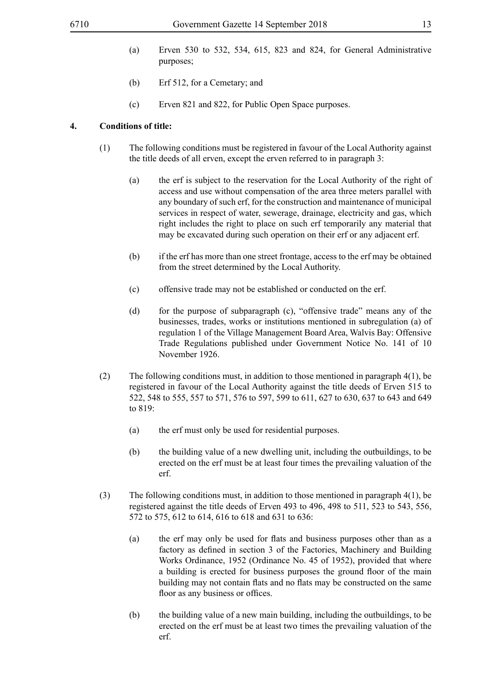- (a) Erven 530 to 532, 534, 615, 823 and 824, for General Administrative purposes;
- (b) Erf 512, for a Cemetary; and
- (c) Erven 821 and 822, for Public Open Space purposes.

#### **4. Conditions of title:**

- (1) The following conditions must be registered in favour of the Local Authority against the title deeds of all erven, except the erven referred to in paragraph 3:
	- (a) the erf is subject to the reservation for the Local Authority of the right of access and use without compensation of the area three meters parallel with any boundary of such erf, for the construction and maintenance of municipal services in respect of water, sewerage, drainage, electricity and gas, which right includes the right to place on such erf temporarily any material that may be excavated during such operation on their erf or any adjacent erf.
	- (b) if the erf has more than one street frontage, access to the erf may be obtained from the street determined by the Local Authority.
	- (c) offensive trade may not be established or conducted on the erf.
	- (d) for the purpose of subparagraph (c), "offensive trade" means any of the businesses, trades, works or institutions mentioned in subregulation (a) of regulation 1 of the Village Management Board Area, Walvis Bay: Offensive Trade Regulations published under Government Notice No. 141 of 10 November 1926.
- (2) The following conditions must, in addition to those mentioned in paragraph  $4(1)$ , be registered in favour of the Local Authority against the title deeds of Erven 515 to 522, 548 to 555, 557 to 571, 576 to 597, 599 to 611, 627 to 630, 637 to 643 and 649 to 819:
	- (a) the erf must only be used for residential purposes.
	- (b) the building value of a new dwelling unit, including the outbuildings, to be erected on the erf must be at least four times the prevailing valuation of the erf.
- (3) The following conditions must, in addition to those mentioned in paragraph 4(1), be registered against the title deeds of Erven 493 to 496, 498 to 511, 523 to 543, 556, 572 to 575, 612 to 614, 616 to 618 and 631 to 636:
	- (a) the erf may only be used for flats and business purposes other than as a factory as defined in section 3 of the Factories, Machinery and Building Works Ordinance, 1952 (Ordinance No. 45 of 1952), provided that where a building is erected for business purposes the ground floor of the main building may not contain flats and no flats may be constructed on the same floor as any business or offices.
	- (b) the building value of a new main building, including the outbuildings, to be erected on the erf must be at least two times the prevailing valuation of the erf.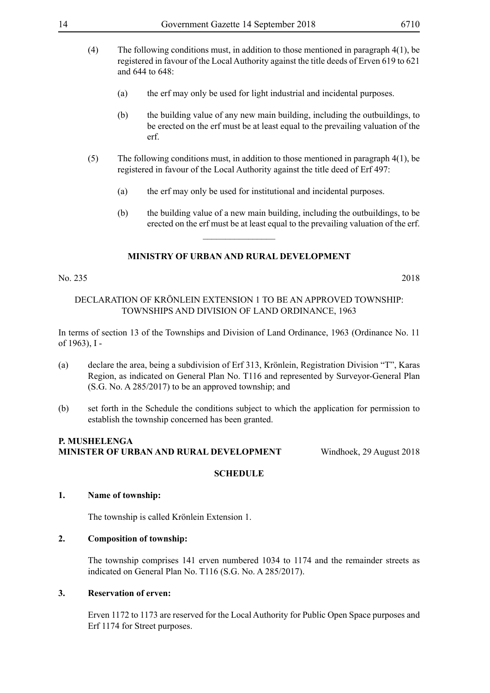- (4) The following conditions must, in addition to those mentioned in paragraph 4(1), be registered in favour of the Local Authority against the title deeds of Erven 619 to 621 and 644 to 648:
	- (a) the erf may only be used for light industrial and incidental purposes.
	- (b) the building value of any new main building, including the outbuildings, to be erected on the erf must be at least equal to the prevailing valuation of the erf.
- (5) The following conditions must, in addition to those mentioned in paragraph 4(1), be registered in favour of the Local Authority against the title deed of Erf 497:
	- (a) the erf may only be used for institutional and incidental purposes.
	- (b) the building value of a new main building, including the outbuildings, to be erected on the erf must be at least equal to the prevailing valuation of the erf.

 $\overline{\phantom{a}}$  , where  $\overline{\phantom{a}}$ 

#### No. 235 2018

#### DECLARATION OF KRÖNLEIN EXTENSION 1 TO BE AN APPROVED TOWNSHIP: TOWNSHIPS AND DIVISION OF LAND ORDINANCE, 1963

In terms of section 13 of the Townships and Division of Land Ordinance, 1963 (Ordinance No. 11 of 1963), I -

- (a) declare the area, being a subdivision of Erf 313, Krönlein, Registration Division "T", Karas Region, as indicated on General Plan No. T116 and represented by Surveyor-General Plan (S.G. No. A 285/2017) to be an approved township; and
- (b) set forth in the Schedule the conditions subject to which the application for permission to establish the township concerned has been granted.

#### **P. Mushelenga Minister of Urban and Rural Development** Windhoek, 29 August 2018

#### **SCHEDULE**

#### **1. Name of township:**

The township is called Krönlein Extension 1.

#### **2. Composition of township:**

The township comprises 141 erven numbered 1034 to 1174 and the remainder streets as indicated on General Plan No. T116 (S.G. No. A 285/2017).

#### **3. Reservation of erven:**

Erven 1172 to 1173 are reserved for the Local Authority for Public Open Space purposes and Erf 1174 for Street purposes.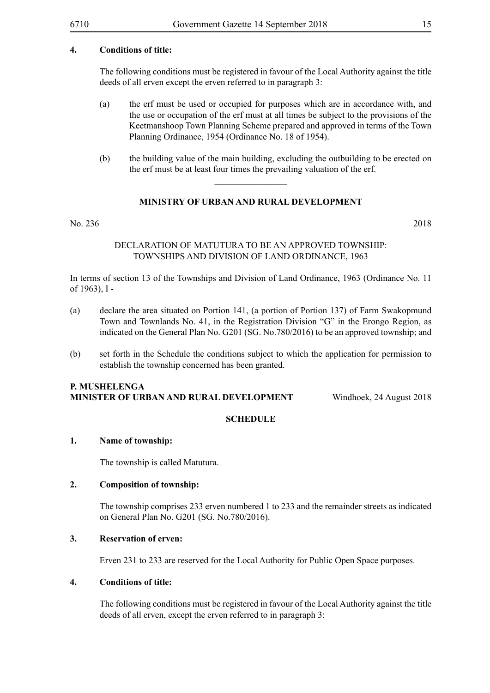#### **4. Conditions of title:**

The following conditions must be registered in favour of the Local Authority against the title deeds of all erven except the erven referred to in paragraph 3:

- (a) the erf must be used or occupied for purposes which are in accordance with, and the use or occupation of the erf must at all times be subject to the provisions of the Keetmanshoop Town Planning Scheme prepared and approved in terms of the Town Planning Ordinance, 1954 (Ordinance No. 18 of 1954).
- (b) the building value of the main building, excluding the outbuilding to be erected on the erf must be at least four times the prevailing valuation of the erf.

#### **MINISTRY OF URBAN AND RURAL DEVELOPMENT**

 $\frac{1}{2}$ 

#### No. 236 2018

#### DECLARATION OF MATUTURA TO BE AN APPROVED TOWNSHIP: TOWNSHIPS AND DIVISION OF LAND ORDINANCE, 1963

In terms of section 13 of the Townships and Division of Land Ordinance, 1963 (Ordinance No. 11 of 1963), I -

- (a) declare the area situated on Portion 141, (a portion of Portion 137) of Farm Swakopmund Town and Townlands No. 41, in the Registration Division "G" in the Erongo Region, as indicated on the General Plan No. G201 (SG. No.780/2016) to be an approved township; and
- (b) set forth in the Schedule the conditions subject to which the application for permission to establish the township concerned has been granted.

#### **P. Mushelenga Minister of Urban and Rural Development** Windhoek, 24 August 2018

#### **SCHEDULE**

#### **1. Name of township:**

The township is called Matutura.

#### **2. Composition of township:**

The township comprises 233 erven numbered 1 to 233 and the remainder streets as indicated on General Plan No. G201 (SG. No.780/2016).

#### **3. Reservation of erven:**

Erven 231 to 233 are reserved for the Local Authority for Public Open Space purposes.

#### **4. Conditions of title:**

The following conditions must be registered in favour of the Local Authority against the title deeds of all erven, except the erven referred to in paragraph 3: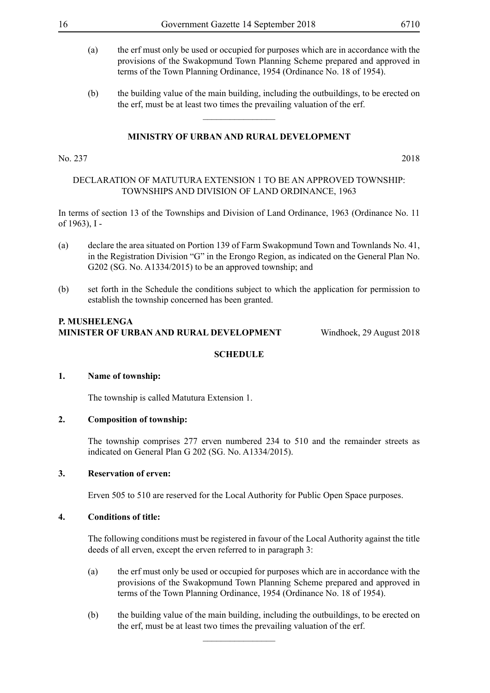- (a) the erf must only be used or occupied for purposes which are in accordance with the provisions of the Swakopmund Town Planning Scheme prepared and approved in terms of the Town Planning Ordinance, 1954 (Ordinance No. 18 of 1954).
- (b) the building value of the main building, including the outbuildings, to be erected on the erf, must be at least two times the prevailing valuation of the erf.

 $\frac{1}{2}$ 

No. 237 2018

#### DECLARATION OF MATUTURA EXTENSION 1 TO BE AN APPROVED TOWNSHIP: TOWNSHIPS AND DIVISION OF LAND ORDINANCE, 1963

In terms of section 13 of the Townships and Division of Land Ordinance, 1963 (Ordinance No. 11 of 1963), I -

- (a) declare the area situated on Portion 139 of Farm Swakopmund Town and Townlands No. 41, in the Registration Division "G" in the Erongo Region, as indicated on the General Plan No. G202 (SG. No. A1334/2015) to be an approved township; and
- (b) set forth in the Schedule the conditions subject to which the application for permission to establish the township concerned has been granted.

#### **P. Mushelenga Minister of Urban and Rural Development** Windhoek, 29 August 2018

#### **SCHEDULE**

#### **1. Name of township:**

The township is called Matutura Extension 1.

#### **2. Composition of township:**

The township comprises 277 erven numbered 234 to 510 and the remainder streets as indicated on General Plan G 202 (SG. No. A1334/2015).

#### **3. Reservation of erven:**

Erven 505 to 510 are reserved for the Local Authority for Public Open Space purposes.

#### **4. Conditions of title:**

The following conditions must be registered in favour of the Local Authority against the title deeds of all erven, except the erven referred to in paragraph 3:

- (a) the erf must only be used or occupied for purposes which are in accordance with the provisions of the Swakopmund Town Planning Scheme prepared and approved in terms of the Town Planning Ordinance, 1954 (Ordinance No. 18 of 1954).
- (b) the building value of the main building, including the outbuildings, to be erected on the erf, must be at least two times the prevailing valuation of the erf.

 $\overline{\phantom{a}}$  , where  $\overline{\phantom{a}}$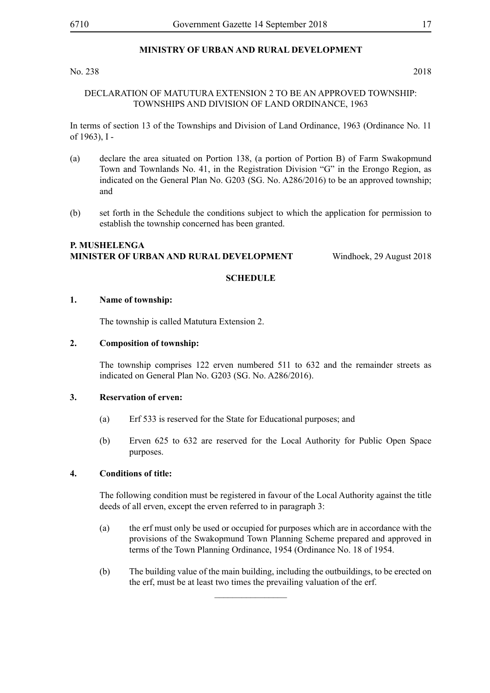#### No. 238 2018

#### DECLARATION OF MATUTURA EXTENSION 2 TO BE AN APPROVED TOWNSHIP: TOWNSHIPS AND DIVISION OF LAND ORDINANCE, 1963

In terms of section 13 of the Townships and Division of Land Ordinance, 1963 (Ordinance No. 11 of 1963), I -

- (a) declare the area situated on Portion 138, (a portion of Portion B) of Farm Swakopmund Town and Townlands No. 41, in the Registration Division "G" in the Erongo Region, as indicated on the General Plan No. G203 (SG. No. A286/2016) to be an approved township; and
- (b) set forth in the Schedule the conditions subject to which the application for permission to establish the township concerned has been granted.

#### **P. Mushelenga Minister of Urban and Rural Development** Windhoek, 29 August 2018

#### **SCHEDULE**

#### **1. Name of township:**

The township is called Matutura Extension 2.

#### **2. Composition of township:**

The township comprises 122 erven numbered 511 to 632 and the remainder streets as indicated on General Plan No. G203 (SG. No. A286/2016).

#### **3. Reservation of erven:**

- (a) Erf 533 is reserved for the State for Educational purposes; and
- (b) Erven 625 to 632 are reserved for the Local Authority for Public Open Space purposes.

#### **4. Conditions of title:**

The following condition must be registered in favour of the Local Authority against the title deeds of all erven, except the erven referred to in paragraph 3:

- (a) the erf must only be used or occupied for purposes which are in accordance with the provisions of the Swakopmund Town Planning Scheme prepared and approved in terms of the Town Planning Ordinance, 1954 (Ordinance No. 18 of 1954.
- (b) The building value of the main building, including the outbuildings, to be erected on the erf, must be at least two times the prevailing valuation of the erf.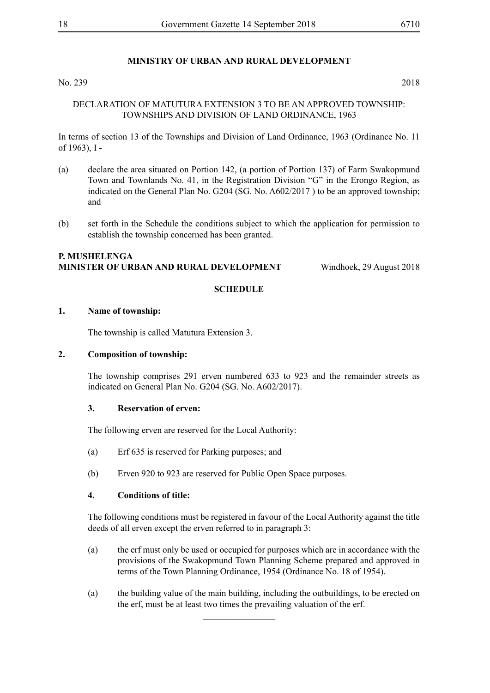No. 239 2018

#### DECLARATION OF MATUTURA EXTENSION 3 TO BE AN APPROVED TOWNSHIP: TOWNSHIPS AND DIVISION OF LAND ORDINANCE, 1963

In terms of section 13 of the Townships and Division of Land Ordinance, 1963 (Ordinance No. 11 of 1963), I -

- (a) declare the area situated on Portion 142, (a portion of Portion 137) of Farm Swakopmund Town and Townlands No. 41, in the Registration Division "G" in the Erongo Region, as indicated on the General Plan No. G204 (SG. No. A602/2017 ) to be an approved township; and
- (b) set forth in the Schedule the conditions subject to which the application for permission to establish the township concerned has been granted.

#### **P. Mushelenga Minister of Urban and Rural Development** Windhoek, 29 August 2018

#### **SCHEDULE**

#### **1. Name of township:**

The township is called Matutura Extension 3.

#### **2. Composition of township:**

The township comprises 291 erven numbered 633 to 923 and the remainder streets as indicated on General Plan No. G204 (SG. No. A602/2017).

#### **3. Reservation of erven:**

The following erven are reserved for the Local Authority:

- (a) Erf 635 is reserved for Parking purposes; and
- (b) Erven 920 to 923 are reserved for Public Open Space purposes.

#### **4. Conditions of title:**

The following conditions must be registered in favour of the Local Authority against the title deeds of all erven except the erven referred to in paragraph 3:

- (a) the erf must only be used or occupied for purposes which are in accordance with the provisions of the Swakopmund Town Planning Scheme prepared and approved in terms of the Town Planning Ordinance, 1954 (Ordinance No. 18 of 1954).
- (a) the building value of the main building, including the outbuildings, to be erected on the erf, must be at least two times the prevailing valuation of the erf.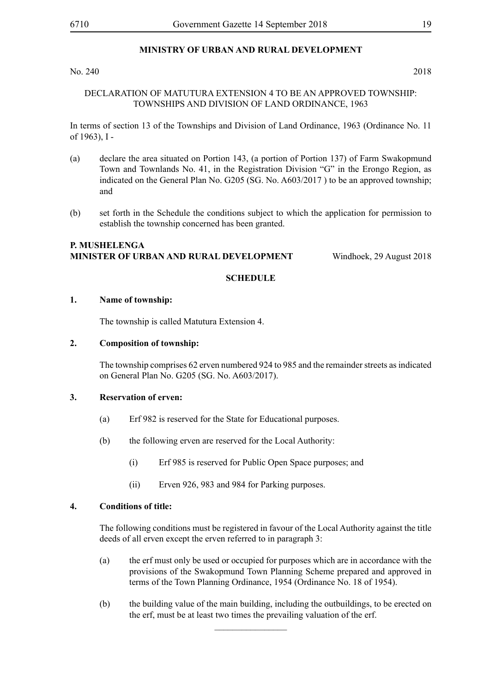#### No. 240 2018

#### DECLARATION OF MATUTURA EXTENSION 4 TO BE AN APPROVED TOWNSHIP: TOWNSHIPS AND DIVISION OF LAND ORDINANCE, 1963

In terms of section 13 of the Townships and Division of Land Ordinance, 1963 (Ordinance No. 11 of 1963), I -

- (a) declare the area situated on Portion 143, (a portion of Portion 137) of Farm Swakopmund Town and Townlands No. 41, in the Registration Division "G" in the Erongo Region, as indicated on the General Plan No. G205 (SG. No. A603/2017 ) to be an approved township; and
- (b) set forth in the Schedule the conditions subject to which the application for permission to establish the township concerned has been granted.

#### **P. Mushelenga Minister of Urban and Rural Development** Windhoek, 29 August 2018

#### **SCHEDULE**

#### **1. Name of township:**

The township is called Matutura Extension 4.

#### **2. Composition of township:**

The township comprises 62 erven numbered 924 to 985 and the remainder streets as indicated on General Plan No. G205 (SG. No. A603/2017).

#### **3. Reservation of erven:**

- (a) Erf 982 is reserved for the State for Educational purposes.
- (b) the following erven are reserved for the Local Authority:
	- (i) Erf 985 is reserved for Public Open Space purposes; and
	- (ii) Erven 926, 983 and 984 for Parking purposes.

#### **4. Conditions of title:**

The following conditions must be registered in favour of the Local Authority against the title deeds of all erven except the erven referred to in paragraph 3:

- (a) the erf must only be used or occupied for purposes which are in accordance with the provisions of the Swakopmund Town Planning Scheme prepared and approved in terms of the Town Planning Ordinance, 1954 (Ordinance No. 18 of 1954).
- (b) the building value of the main building, including the outbuildings, to be erected on the erf, must be at least two times the prevailing valuation of the erf.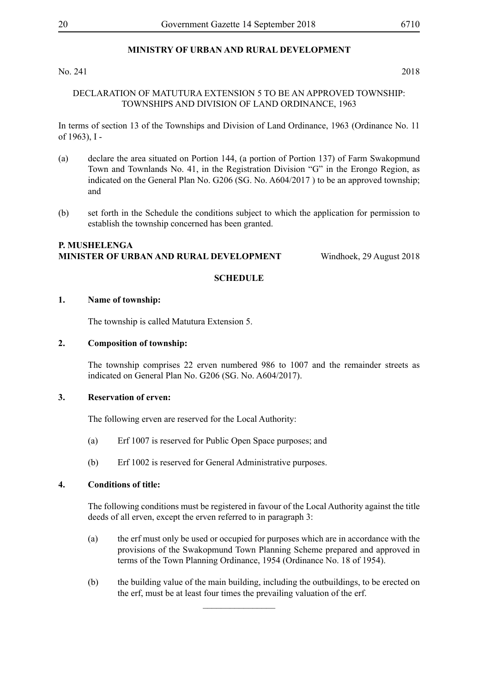#### No. 241 2018

DECLARATION OF MATUTURA EXTENSION 5 TO BE AN APPROVED TOWNSHIP: TOWNSHIPS AND DIVISION OF LAND ORDINANCE, 1963

In terms of section 13 of the Townships and Division of Land Ordinance, 1963 (Ordinance No. 11 of 1963), I -

- (a) declare the area situated on Portion 144, (a portion of Portion 137) of Farm Swakopmund Town and Townlands No. 41, in the Registration Division "G" in the Erongo Region, as indicated on the General Plan No. G206 (SG. No. A604/2017 ) to be an approved township; and
- (b) set forth in the Schedule the conditions subject to which the application for permission to establish the township concerned has been granted.

#### **P. Mushelenga Minister of Urban and Rural Development** Windhoek, 29 August 2018

#### **SCHEDULE**

#### **1. Name of township:**

The township is called Matutura Extension 5.

#### **2. Composition of township:**

The township comprises 22 erven numbered 986 to 1007 and the remainder streets as indicated on General Plan No. G206 (SG. No. A604/2017).

#### **3. Reservation of erven:**

The following erven are reserved for the Local Authority:

- (a) Erf 1007 is reserved for Public Open Space purposes; and
- (b) Erf 1002 is reserved for General Administrative purposes.

#### **4. Conditions of title:**

The following conditions must be registered in favour of the Local Authority against the title deeds of all erven, except the erven referred to in paragraph 3:

- (a) the erf must only be used or occupied for purposes which are in accordance with the provisions of the Swakopmund Town Planning Scheme prepared and approved in terms of the Town Planning Ordinance, 1954 (Ordinance No. 18 of 1954).
- (b) the building value of the main building, including the outbuildings, to be erected on the erf, must be at least four times the prevailing valuation of the erf.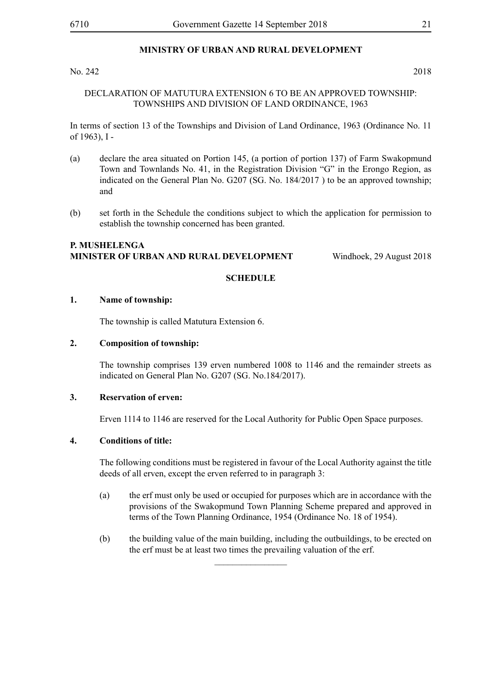#### No. 242 2018

#### DECLARATION OF MATUTURA EXTENSION 6 TO BE AN APPROVED TOWNSHIP: TOWNSHIPS AND DIVISION OF LAND ORDINANCE, 1963

In terms of section 13 of the Townships and Division of Land Ordinance, 1963 (Ordinance No. 11 of 1963), I -

- (a) declare the area situated on Portion 145, (a portion of portion 137) of Farm Swakopmund Town and Townlands No. 41, in the Registration Division "G" in the Erongo Region, as indicated on the General Plan No. G207 (SG. No. 184/2017 ) to be an approved township; and
- (b) set forth in the Schedule the conditions subject to which the application for permission to establish the township concerned has been granted.

#### **P. Mushelenga Minister of Urban and Rural Development** Windhoek, 29 August 2018

#### **SCHEDULE**

#### **1. Name of township:**

The township is called Matutura Extension 6.

#### **2. Composition of township:**

The township comprises 139 erven numbered 1008 to 1146 and the remainder streets as indicated on General Plan No. G207 (SG. No.184/2017).

#### **3. Reservation of erven:**

Erven 1114 to 1146 are reserved for the Local Authority for Public Open Space purposes.

#### **4. Conditions of title:**

The following conditions must be registered in favour of the Local Authority against the title deeds of all erven, except the erven referred to in paragraph 3:

- (a) the erf must only be used or occupied for purposes which are in accordance with the provisions of the Swakopmund Town Planning Scheme prepared and approved in terms of the Town Planning Ordinance, 1954 (Ordinance No. 18 of 1954).
- (b) the building value of the main building, including the outbuildings, to be erected on the erf must be at least two times the prevailing valuation of the erf.

 $\overline{\phantom{a}}$  , where  $\overline{\phantom{a}}$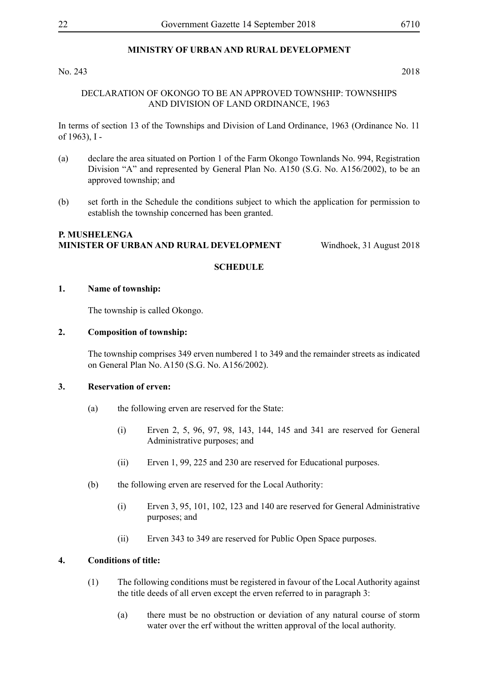#### No. 243 2018

#### DECLARATION OF OKONGO TO BE AN APPROVED TOWNSHIP: TOWNSHIPS AND DIVISION OF LAND ORDINANCE, 1963

In terms of section 13 of the Townships and Division of Land Ordinance, 1963 (Ordinance No. 11 of 1963), I -

- (a) declare the area situated on Portion 1 of the Farm Okongo Townlands No. 994, Registration Division "A" and represented by General Plan No. A150 (S.G. No. A156/2002), to be an approved township; and
- (b) set forth in the Schedule the conditions subject to which the application for permission to establish the township concerned has been granted.

#### **P. Mushelenga Minister of Urban and Rural Development** Windhoek, 31 August 2018

#### **SCHEDULE**

#### **1. Name of township:**

The township is called Okongo.

#### **2. Composition of township:**

The township comprises 349 erven numbered 1 to 349 and the remainder streets as indicated on General Plan No. A150 (S.G. No. A156/2002).

#### **3. Reservation of erven:**

- (a) the following erven are reserved for the State:
	- (i) Erven 2, 5, 96, 97, 98, 143, 144, 145 and 341 are reserved for General Administrative purposes; and
	- (ii) Erven 1, 99, 225 and 230 are reserved for Educational purposes.
- (b) the following erven are reserved for the Local Authority:
	- (i) Erven 3, 95, 101, 102, 123 and 140 are reserved for General Administrative purposes; and
	- (ii) Erven 343 to 349 are reserved for Public Open Space purposes.

#### **4. Conditions of title:**

- (1) The following conditions must be registered in favour of the Local Authority against the title deeds of all erven except the erven referred to in paragraph 3:
	- (a) there must be no obstruction or deviation of any natural course of storm water over the erf without the written approval of the local authority.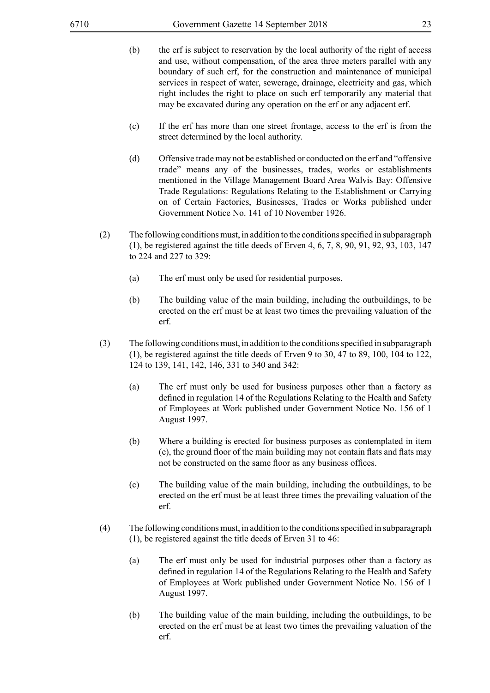- (b) the erf is subject to reservation by the local authority of the right of access and use, without compensation, of the area three meters parallel with any boundary of such erf, for the construction and maintenance of municipal services in respect of water, sewerage, drainage, electricity and gas, which right includes the right to place on such erf temporarily any material that may be excavated during any operation on the erf or any adjacent erf.
- (c) If the erf has more than one street frontage, access to the erf is from the street determined by the local authority.
- (d) Offensive trade may not be established or conducted on the erf and "offensive trade" means any of the businesses, trades, works or establishments mentioned in the Village Management Board Area Walvis Bay: Offensive Trade Regulations: Regulations Relating to the Establishment or Carrying on of Certain Factories, Businesses, Trades or Works published under Government Notice No. 141 of 10 November 1926.
- (2) The following conditions must, in addition to the conditions specified in subparagraph (1), be registered against the title deeds of Erven 4, 6, 7, 8, 90, 91, 92, 93, 103, 147 to 224 and 227 to 329:
	- (a) The erf must only be used for residential purposes.
	- (b) The building value of the main building, including the outbuildings, to be erected on the erf must be at least two times the prevailing valuation of the erf.
- (3) The following conditions must, in addition to the conditions specified in subparagraph (1), be registered against the title deeds of Erven 9 to 30, 47 to 89, 100, 104 to 122, 124 to 139, 141, 142, 146, 331 to 340 and 342:
	- (a) The erf must only be used for business purposes other than a factory as defined in regulation 14 of the Regulations Relating to the Health and Safety of Employees at Work published under Government Notice No. 156 of 1 August 1997.
	- (b) Where a building is erected for business purposes as contemplated in item (e), the ground floor of the main building may not contain flats and flats may not be constructed on the same floor as any business offices.
	- (c) The building value of the main building, including the outbuildings, to be erected on the erf must be at least three times the prevailing valuation of the erf.
- (4) The following conditions must, in addition to the conditions specified in subparagraph (1), be registered against the title deeds of Erven 31 to 46:
	- (a) The erf must only be used for industrial purposes other than a factory as defined in regulation 14 of the Regulations Relating to the Health and Safety of Employees at Work published under Government Notice No. 156 of 1 August 1997.
	- (b) The building value of the main building, including the outbuildings, to be erected on the erf must be at least two times the prevailing valuation of the erf.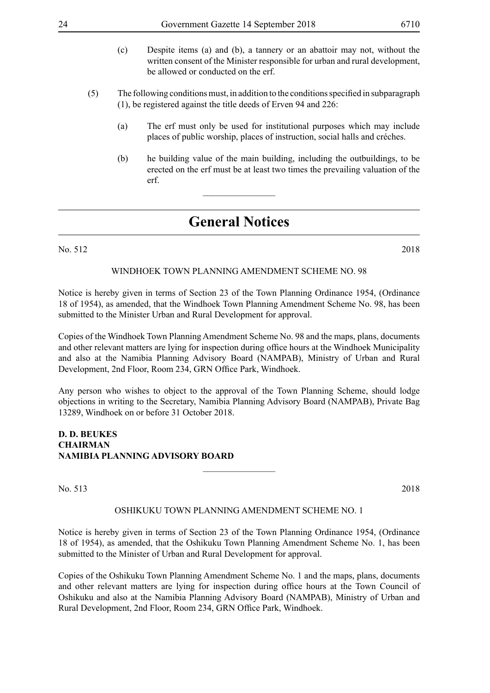| 24  |     | Government Gazette 14 September 2018                                                                                                                                                            | 6710 |
|-----|-----|-------------------------------------------------------------------------------------------------------------------------------------------------------------------------------------------------|------|
|     | (c) | Despite items (a) and (b), a tannery or an abattoir may not, without the<br>written consent of the Minister responsible for urban and rural development,<br>be allowed or conducted on the erf. |      |
| (5) |     | The following conditions must, in addition to the conditions specified in subparagraph<br>$(1)$ , be registered against the title deeds of Erven 94 and 226:                                    |      |
|     | (a) | The erf must only be used for institutional purposes which may include<br>places of public worship, places of instruction, social halls and créches.                                            |      |
|     | (b) | he building value of the main building, including the outbuildings, to be<br>erected on the erf must be at least two times the prevailing valuation of the<br>erf.                              |      |
|     |     | <b>General Notices</b>                                                                                                                                                                          |      |

No. 512 2018

#### WINDHOEK TOWN PLANNING AMENDMENT SCHEME NO. 98

Notice is hereby given in terms of Section 23 of the Town Planning Ordinance 1954, (Ordinance 18 of 1954), as amended, that the Windhoek Town Planning Amendment Scheme No. 98, has been submitted to the Minister Urban and Rural Development for approval.

Copies of the Windhoek Town Planning Amendment Scheme No. 98 and the maps, plans, documents and other relevant matters are lying for inspection during office hours at the Windhoek Municipality and also at the Namibia Planning Advisory Board (NAMPAB), Ministry of Urban and Rural Development, 2nd Floor, Room 234, GRN Office Park, Windhoek.

Any person who wishes to object to the approval of the Town Planning Scheme, should lodge objections in writing to the Secretary, Namibia Planning Advisory Board (NAMPAB), Private Bag 13289, Windhoek on or before 31 October 2018.

 $\frac{1}{2}$ 

#### **D. D. BEUKES CHAIRMAN NAMIBIA PLANNING ADVISORY BOARD**

No. 513 2018

#### OSHIKUKU TOWN PLANNING AMENDMENT SCHEME NO. 1

Notice is hereby given in terms of Section 23 of the Town Planning Ordinance 1954, (Ordinance 18 of 1954), as amended, that the Oshikuku Town Planning Amendment Scheme No. 1, has been submitted to the Minister of Urban and Rural Development for approval.

Copies of the Oshikuku Town Planning Amendment Scheme No. 1 and the maps, plans, documents and other relevant matters are lying for inspection during office hours at the Town Council of Oshikuku and also at the Namibia Planning Advisory Board (NAMPAB), Ministry of Urban and Rural Development, 2nd Floor, Room 234, GRN Office Park, Windhoek.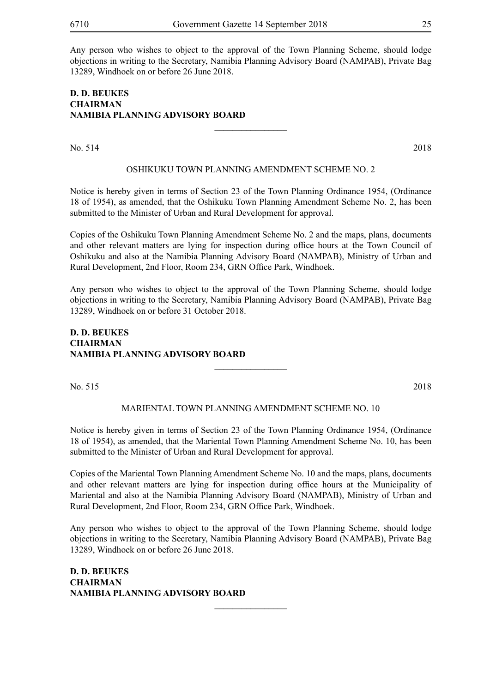Any person who wishes to object to the approval of the Town Planning Scheme, should lodge objections in writing to the Secretary, Namibia Planning Advisory Board (NAMPAB), Private Bag 13289, Windhoek on or before 26 June 2018.

#### **D. D. BEUKES CHAIRMAN NAMIBIA PLANNING ADVISORY BOARD**

No. 514 2018

#### OSHIKUKU TOWN PLANNING AMENDMENT SCHEME NO. 2

 $\overline{\phantom{a}}$  , where  $\overline{\phantom{a}}$ 

Notice is hereby given in terms of Section 23 of the Town Planning Ordinance 1954, (Ordinance 18 of 1954), as amended, that the Oshikuku Town Planning Amendment Scheme No. 2, has been submitted to the Minister of Urban and Rural Development for approval.

Copies of the Oshikuku Town Planning Amendment Scheme No. 2 and the maps, plans, documents and other relevant matters are lying for inspection during office hours at the Town Council of Oshikuku and also at the Namibia Planning Advisory Board (NAMPAB), Ministry of Urban and Rural Development, 2nd Floor, Room 234, GRN Office Park, Windhoek.

Any person who wishes to object to the approval of the Town Planning Scheme, should lodge objections in writing to the Secretary, Namibia Planning Advisory Board (NAMPAB), Private Bag 13289, Windhoek on or before 31 October 2018.

#### **D. D. BEUKES CHAIRMAN NAMIBIA PLANNING ADVISORY BOARD**

No. 515 2018

MARIENTAL TOWN PLANNING AMENDMENT SCHEME NO. 10

 $\frac{1}{2}$ 

Notice is hereby given in terms of Section 23 of the Town Planning Ordinance 1954, (Ordinance 18 of 1954), as amended, that the Mariental Town Planning Amendment Scheme No. 10, has been submitted to the Minister of Urban and Rural Development for approval.

Copies of the Mariental Town Planning Amendment Scheme No. 10 and the maps, plans, documents and other relevant matters are lying for inspection during office hours at the Municipality of Mariental and also at the Namibia Planning Advisory Board (NAMPAB), Ministry of Urban and Rural Development, 2nd Floor, Room 234, GRN Office Park, Windhoek.

Any person who wishes to object to the approval of the Town Planning Scheme, should lodge objections in writing to the Secretary, Namibia Planning Advisory Board (NAMPAB), Private Bag 13289, Windhoek on or before 26 June 2018.

 $\frac{1}{2}$ 

**D. D. BEUKES CHAIRMAN NAMIBIA PLANNING ADVISORY BOARD**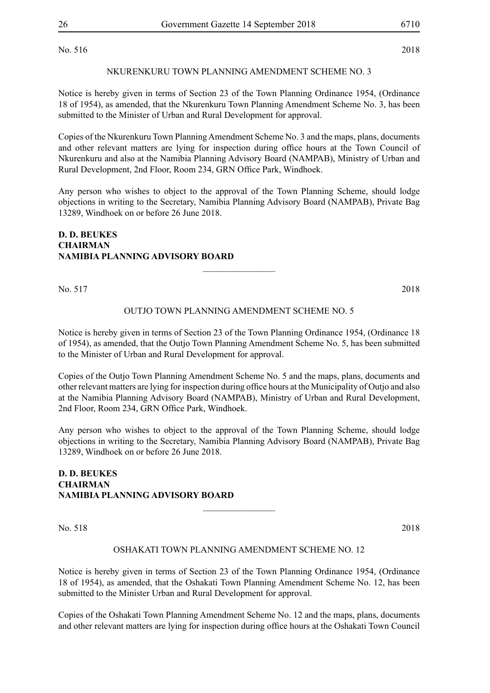#### NKURENKURU TOWN PLANNING AMENDMENT SCHEME NO. 3

Notice is hereby given in terms of Section 23 of the Town Planning Ordinance 1954, (Ordinance 18 of 1954), as amended, that the Nkurenkuru Town Planning Amendment Scheme No. 3, has been submitted to the Minister of Urban and Rural Development for approval.

Copies of the Nkurenkuru Town Planning Amendment Scheme No. 3 and the maps, plans, documents and other relevant matters are lying for inspection during office hours at the Town Council of Nkurenkuru and also at the Namibia Planning Advisory Board (NAMPAB), Ministry of Urban and Rural Development, 2nd Floor, Room 234, GRN Office Park, Windhoek.

Any person who wishes to object to the approval of the Town Planning Scheme, should lodge objections in writing to the Secretary, Namibia Planning Advisory Board (NAMPAB), Private Bag 13289, Windhoek on or before 26 June 2018.

#### **D. D. BEUKES CHAIRMAN NAMIBIA PLANNING ADVISORY BOARD**

No. 517 2018

#### OUTJO TOWN PLANNING AMENDMENT SCHEME NO. 5

 $\frac{1}{2}$ 

Notice is hereby given in terms of Section 23 of the Town Planning Ordinance 1954, (Ordinance 18 of 1954), as amended, that the Outjo Town Planning Amendment Scheme No. 5, has been submitted to the Minister of Urban and Rural Development for approval.

Copies of the Outjo Town Planning Amendment Scheme No. 5 and the maps, plans, documents and other relevant matters are lying for inspection during office hours at the Municipality of Outjo and also at the Namibia Planning Advisory Board (NAMPAB), Ministry of Urban and Rural Development, 2nd Floor, Room 234, GRN Office Park, Windhoek.

Any person who wishes to object to the approval of the Town Planning Scheme, should lodge objections in writing to the Secretary, Namibia Planning Advisory Board (NAMPAB), Private Bag 13289, Windhoek on or before 26 June 2018.

#### **D. D. BEUKES CHAIRMAN NAMIBIA PLANNING ADVISORY BOARD**

No. 518 2018

#### OSHAKATI TOWN PLANNING AMENDMENT SCHEME NO. 12

 $\frac{1}{2}$ 

Notice is hereby given in terms of Section 23 of the Town Planning Ordinance 1954, (Ordinance 18 of 1954), as amended, that the Oshakati Town Planning Amendment Scheme No. 12, has been submitted to the Minister Urban and Rural Development for approval.

Copies of the Oshakati Town Planning Amendment Scheme No. 12 and the maps, plans, documents and other relevant matters are lying for inspection during office hours at the Oshakati Town Council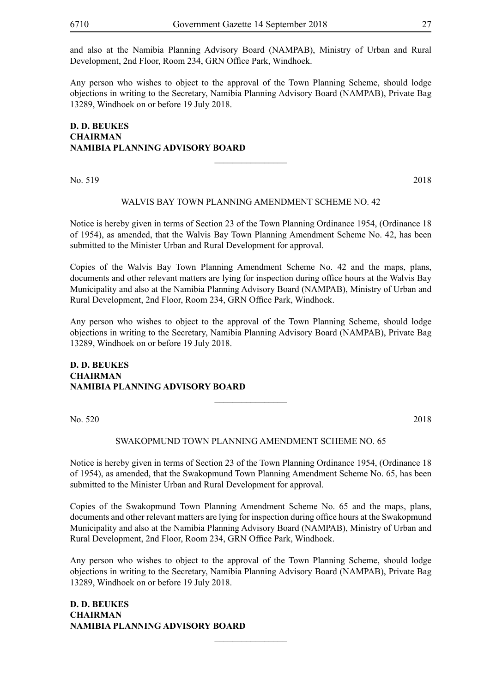and also at the Namibia Planning Advisory Board (NAMPAB), Ministry of Urban and Rural Development, 2nd Floor, Room 234, GRN Office Park, Windhoek.

Any person who wishes to object to the approval of the Town Planning Scheme, should lodge objections in writing to the Secretary, Namibia Planning Advisory Board (NAMPAB), Private Bag 13289, Windhoek on or before 19 July 2018.

#### **D. D. BEUKES CHAIRMAN NAMIBIA PLANNING ADVISORY BOARD**

No. 519 2018

#### WALVIS BAY TOWN PLANNING AMENDMENT SCHEME NO. 42

 $\frac{1}{2}$ 

Notice is hereby given in terms of Section 23 of the Town Planning Ordinance 1954, (Ordinance 18 of 1954), as amended, that the Walvis Bay Town Planning Amendment Scheme No. 42, has been submitted to the Minister Urban and Rural Development for approval.

Copies of the Walvis Bay Town Planning Amendment Scheme No. 42 and the maps, plans, documents and other relevant matters are lying for inspection during office hours at the Walvis Bay Municipality and also at the Namibia Planning Advisory Board (NAMPAB), Ministry of Urban and Rural Development, 2nd Floor, Room 234, GRN Office Park, Windhoek.

Any person who wishes to object to the approval of the Town Planning Scheme, should lodge objections in writing to the Secretary, Namibia Planning Advisory Board (NAMPAB), Private Bag 13289, Windhoek on or before 19 July 2018.

 $\overline{\phantom{a}}$  , where  $\overline{\phantom{a}}$ 

#### **D. D. BEUKES CHAIRMAN NAMIBIA PLANNING ADVISORY BOARD**

No. 520 2018

### SWAKOPMUND TOWN PLANNING AMENDMENT SCHEME NO. 65

Notice is hereby given in terms of Section 23 of the Town Planning Ordinance 1954, (Ordinance 18 of 1954), as amended, that the Swakopmund Town Planning Amendment Scheme No. 65, has been submitted to the Minister Urban and Rural Development for approval.

Copies of the Swakopmund Town Planning Amendment Scheme No. 65 and the maps, plans, documents and other relevant matters are lying for inspection during office hours at the Swakopmund Municipality and also at the Namibia Planning Advisory Board (NAMPAB), Ministry of Urban and Rural Development, 2nd Floor, Room 234, GRN Office Park, Windhoek.

Any person who wishes to object to the approval of the Town Planning Scheme, should lodge objections in writing to the Secretary, Namibia Planning Advisory Board (NAMPAB), Private Bag 13289, Windhoek on or before 19 July 2018.

 $\overline{\phantom{a}}$  , where  $\overline{\phantom{a}}$ 

**D. D. BEUKES CHAIRMAN NAMIBIA PLANNING ADVISORY BOARD**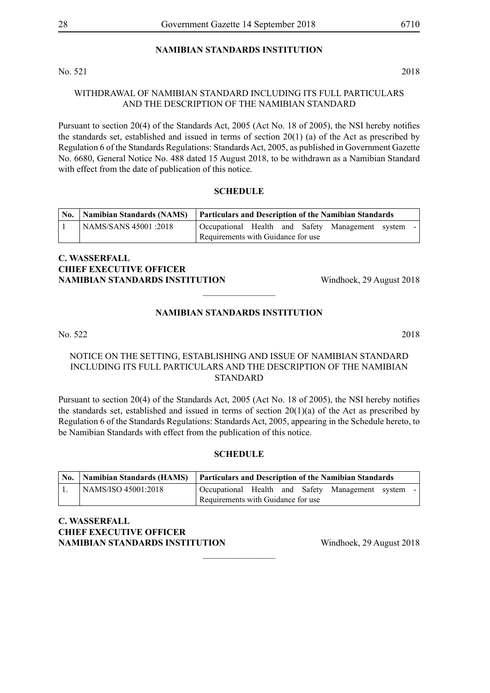#### **NAMIBIAN STANDARDS INSTITUTION**

No. 521 2018

#### WITHDRAWAL OF NAMIBIAN STANDARD INCLUDING ITS FULL PARTICULARS AND THE DESCRIPTION OF THE NAMIBIAN STANDARD

Pursuant to section 20(4) of the Standards Act, 2005 (Act No. 18 of 2005), the NSI hereby notifies the standards set, established and issued in terms of section 20(1) (a) of the Act as prescribed by Regulation 6 of the Standards Regulations: Standards Act, 2005, as published in Government Gazette No. 6680, General Notice No. 488 dated 15 August 2018, to be withdrawn as a Namibian Standard with effect from the date of publication of this notice.

#### **SCHEDULE**

|                       | No.   Namibian Standards (NAMS)   Particulars and Description of the Namibian Standards |  |  |  |  |
|-----------------------|-----------------------------------------------------------------------------------------|--|--|--|--|
| NAMS/SANS 45001 :2018 | Occupational Health and Safety Management system<br>$\sim$                              |  |  |  |  |
|                       | Requirements with Guidance for use                                                      |  |  |  |  |

#### **C. Wasserfall CHIEF EXECUTIVE OFFICER NAMIBIAN STANDARDS INSTITUTION** Windhoek, 29 August 2018

#### **NAMIBIAN STANDARDS INSTITUTION**

 $\frac{1}{2}$ 

No. 522 2018

#### NOTICE ON THE SETTING, ESTABLISHING AND ISSUE OF NAMIBIAN STANDARD INCLUDING ITS FULL PARTICULARS AND THE DESCRIPTION OF THE NAMIBIAN STANDARD

Pursuant to section 20(4) of the Standards Act, 2005 (Act No. 18 of 2005), the NSI hereby notifies the standards set, established and issued in terms of section  $20(1)(a)$  of the Act as prescribed by Regulation 6 of the Standards Regulations: Standards Act, 2005, appearing in the Schedule hereto, to be Namibian Standards with effect from the publication of this notice.

#### **SCHEDULE**

|                     | No.   Namibian Standards (HAMS)   Particulars and Description of the Namibian Standards |  |  |  |
|---------------------|-----------------------------------------------------------------------------------------|--|--|--|
| NAMS/ISO 45001:2018 | Occupational Health and Safety Management system                                        |  |  |  |
|                     | Requirements with Guidance for use                                                      |  |  |  |

 $\frac{1}{2}$ 

**C. Wasserfall CHIEF EXECUTIVE OFFICER NAMIBIAN STANDARDS INSTITUTION** Windhoek, 29 August 2018